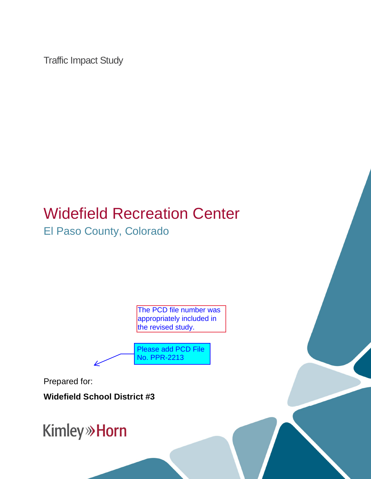Traffic Impact Study

# Widefield Recreation Center El Paso County, Colorado

The PCD file number was appropriately included in the revised study.

Please add PCD File No. PPR-2213

Prepared for:

**Widefield School District #3**

**Kimley» Horn**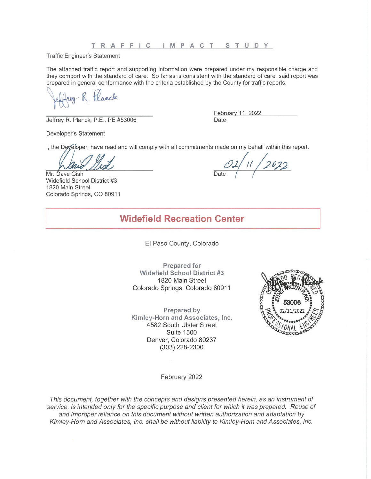**Traffic Engineer's Statement** 

The attached traffic report and supporting information were prepared under my responsible charge and they comport with the standard of care. So far as is consistent with the standard of care, said report was prepared in general conformance with the criteria established by the County for traffic reports.

ren R Hanck

Jeffrey R. Planck, P.E., PE #53006

February 11, 2022 Date

Developer's Statement

I, the Developer, have read and will comply with all commitments made on my behalf within this report.

Mr. Dave Gish Widefield School District #3 1820 Main Street Colorado Springs, CO 80911

 $11/2022$ 

# **Widefield Recreation Center**

El Paso County, Colorado

Prepared for **Widefield School District #3** 1820 Main Street Colorado Springs, Colorado 80911

Prepared by Kimley-Horn and Associates, Inc. 4582 South Ulster Street **Suite 1500** Denver, Colorado 80237 (303) 228-2300



February 2022

This document, together with the concepts and designs presented herein, as an instrument of service, is intended only for the specific purpose and client for which it was prepared. Reuse of and improper reliance on this document without written authorization and adaptation by Kimley-Horn and Associates, Inc. shall be without liability to Kimley-Horn and Associates, Inc.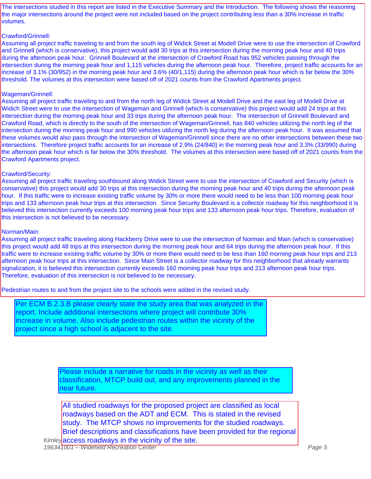The intersections studied in this report are listed in the Executive Summary and the Introduction. The following shows the reasoning the major intersections around the project were not included based on the project contributing less than a 30% increase in traffic volumes.

#### Crawford/Grinnell:

Assaming an project name havening to and normalle seaming or vitalent entert at measurement to ase the intersection or entirely and Grinnell (which is conservative), this project would add 30 trips at this intersection dur increase of 3.1% (30/952) in the morning peak hour and 3.6% (40/1,115) during the afternoon peak hour which is far below the 30% threshold. The volumes at this intersection were based off of 2021 counts from the Crawford Apartments project. Assuming all project traffic traveling to and from the south leg of Widick Street at Modell Drive were to use the intersection of Crawford during the afternoon peak hour. Grinnell Boulevard at the intersection of Crawford Road has 952 vehicles passing through the intersection during the morning peak hour and 1,115 vehicles during the afternoon peak hour. Therefore, project traffic accounts for an

#### Pool, and existing ball fields and tennis courts. Widefield Recreation Center is planning to Wageman/Grinnell:

Widich Street were to use the intersection of Wageman and Grinnell (which is conservative) this project would add 24 trips at this intersection during the morning peak hour and 33 trips during the afternoon peak hour. The intersection of Grinnell Boulevard and intersection during the morning peak hour and 990 vehicles utilizing the north leg during the afternoon peak hour. It was assumed that these volumes would also pass through the intersection of Wageman/Grinnell since there are no other intersections between these two intersections. Therefore provided to the intersection of  $(2.8\%)$  (24/240) is the manifest **3.2 Existing and Future Roadway Networks** Assuming all project traffic traveling to and from the north leg of Widick Street at Modell Drive and the east leg of Modell Drive at Crawford Road, which is directly to the south of the intersection of Wageman/Grinnell, has 840 vehicles utilizing the north leg of the intersections. Therefore project traffic accounts for an increase of 2.9% (24/840) in the morning peak hour and 3.3% (33/990) during the afternoon peak hour which is far below the 30% threshold. The volumes at this intersection were based off of 2021 counts from the Crawford Apartments project.

### Crawford/Security:

 $\mathrm{ity:}$ two-lane roadways. Modell Drive extends eastbound and westbound and provides one through conservative) this project would add 30 trips at this intersection during the morning peak hour and 40 trips during the afternoon peak hour. If this traffic were to increase existing traffic volume by 30% or more there would need to be less than 100 morning peak hour believed this intersection currently exceeds 100 morning peak hour trips and 133 afternoon peak hour trips. Therefore, evaluation of this intersection is not believed to be necessary. Assuming all project traffic traveling southbound along Widick Street were to use the intersection of Crawford and Security (which is trips and 133 afternoon peak hour trips at this intersection. Since Security Boulevard is a collector roadway for this neighborhood it is

### Norman/Main:

Assuming all project traffic traveling along Hackberry Drive were to use the intersection of Norman and Main (which is conservative) this project would add 48 trips at this intersection during the morning peak hour and 64 trips during the afternoon peak hour. If this traffic were to increase existing traffic volume by 30% or more there would need to be less than 160 morning peak hour trips and 213 afternoon peak hour trips at this intersection. Since Main Street is a collector roadway for this neighborhood that already warrants signalization, it is believed this intersection currently exceeds 160 morning peak hour trips and 213 afternoon peak hour trips. Therefore, evaluation of this intersection is not believed to be necessary.

Pedestrian routes to and from the project site to the schools were added in the revised study.

Per ECM B.2.3.B please clearly state the study area that was analyzed in the report. Include additional intersections where project will contribute 30% increase in volume. Also include pedestrian routes within the vicinity of the project since a high school is adjacent to the site.

> Please include a narrative for roads in the vicinity as well as their classification, MTCP build out, and any improvements planned in the near future.

Kimleyaccess roadways in the vicinity of the site. All studied roadways for the proposed project are classified as local roadways based on the ADT and ECM. This is stated in the revised study. The MTCP shows no improvements for the studied roadways. Brief descriptions and classifications have been provided for the regional